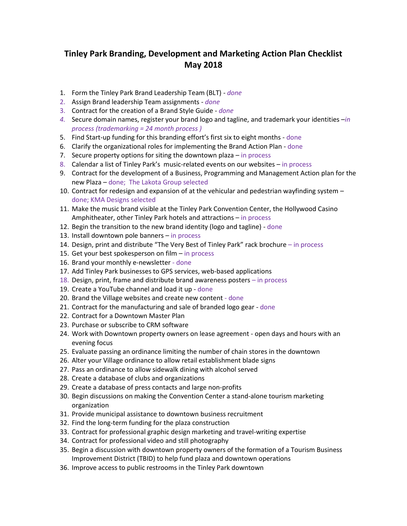## **Tinley Park Branding, Development and Marketing Action Plan Checklist May 2018**

- 1. Form the Tinley Park Brand Leadership Team (BLT) *- done*
- 2. Assign Brand leadership Team assignments *done*
- 3. Contract for the creation of a Brand Style Guide *done*
- *4.* Secure domain names, register your brand logo and tagline, and trademark your identities –*in process (trademarking = 24 month process )*
- 5. Find Start-up funding for this branding effort's first six to eight months done
- 6. Clarify the organizational roles for implementing the Brand Action Plan done
- 7. Secure property options for siting the downtown plaza  $-$  in process
- 8. Calendar a list of Tinley Park's music-related events on our websites in process
- 9. Contract for the development of a Business, Programming and Management Action plan for the new Plaza – done; The Lakota Group selected
- 10. Contract for redesign and expansion of at the vehicular and pedestrian wayfinding system done; KMA Designs selected
- 11. Make the music brand visible at the Tinley Park Convention Center, the Hollywood Casino Amphitheater, other Tinley Park hotels and attractions – in process
- 12. Begin the transition to the new brand identity (logo and tagline) done
- 13. Install downtown pole banners in process
- 14. Design, print and distribute "The Very Best of Tinley Park" rack brochure in process
- 15. Get your best spokesperson on film in process
- 16. Brand your monthly e-newsletter done
- 17. Add Tinley Park businesses to GPS services, web-based applications
- 18. Design, print, frame and distribute brand awareness posters in process
- 19. Create a YouTube channel and load it up done
- 20. Brand the Village websites and create new content done
- 21. Contract for the manufacturing and sale of branded logo gear done
- 22. Contract for a Downtown Master Plan
- 23. Purchase or subscribe to CRM software
- 24. Work with Downtown property owners on lease agreement open days and hours with an evening focus
- 25. Evaluate passing an ordinance limiting the number of chain stores in the downtown
- 26. Alter your Village ordinance to allow retail establishment blade signs
- 27. Pass an ordinance to allow sidewalk dining with alcohol served
- 28. Create a database of clubs and organizations
- 29. Create a database of press contacts and large non-profits
- 30. Begin discussions on making the Convention Center a stand-alone tourism marketing organization
- 31. Provide municipal assistance to downtown business recruitment
- 32. Find the long-term funding for the plaza construction
- 33. Contract for professional graphic design marketing and travel-writing expertise
- 34. Contract for professional video and still photography
- 35. Begin a discussion with downtown property owners of the formation of a Tourism Business Improvement District (TBID) to help fund plaza and downtown operations
- 36. Improve access to public restrooms in the Tinley Park downtown